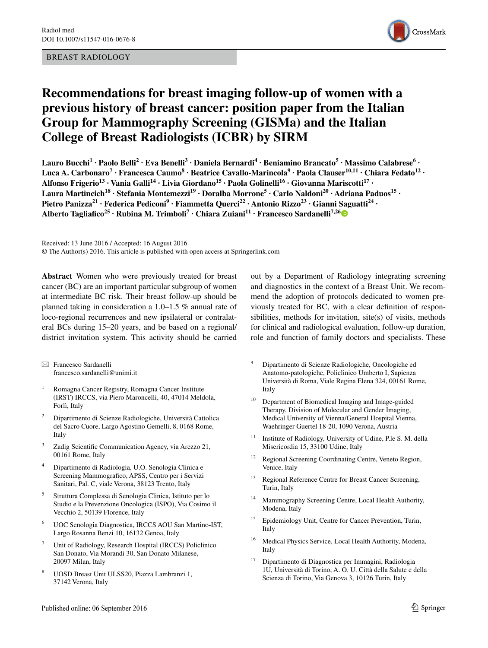#### BREAST RADIOLOGY



# **Recommendations for breast imaging follow‑up of women with a previous history of breast cancer: position paper from the Italian Group for Mammography Screening (GISMa) and the Italian College of Breast Radiologists (ICBR) by SIRM**

**Lauro Bucchi1 · Paolo Belli2 · Eva Benelli3 · Daniela Bernardi<sup>4</sup> · Beniamino Brancato5 · Massimo Calabrese<sup>6</sup> · Luca A. Carbonaro<sup>7</sup> · Francesca Caumo8 · Beatrice Cavallo‑Marincola9 · Paola Clauser10,11 · Chiara Fedato12 · Alfonso Frigerio<sup>13</sup> · Vania Galli14 · Livia Giordano15 · Paola Golinelli16 · Giovanna Mariscotti17 · Laura Martincich<sup>18</sup> · Stefania Montemezzi19 · Doralba Morrone<sup>5</sup> · Carlo Naldoni20 · Adriana Paduos15 · Pietro Panizza<sup>21</sup> · Federica Pediconi<sup>9</sup> · Fiammetta Querci<sup>22</sup> · Antonio Rizzo23 · Gianni Saguatti24 · Alberto Tagliafico<sup>25</sup> · Rubina M. Trimboli7 · Chiara Zuiani11 · Francesco Sardanelli7,2[6](http://orcid.org/0000-0001-6545-9427)**

Received: 13 June 2016 / Accepted: 16 August 2016 © The Author(s) 2016. This article is published with open access at Springerlink.com

**Abstract** Women who were previously treated for breast cancer (BC) are an important particular subgroup of women at intermediate BC risk. Their breast follow-up should be planned taking in consideration a 1.0–1.5 % annual rate of loco-regional recurrences and new ipsilateral or contralateral BCs during 15–20 years, and be based on a regional/ district invitation system. This activity should be carried

 $\boxtimes$  Francesco Sardanelli francesco.sardanelli@unimi.it

- <sup>1</sup> Romagna Cancer Registry, Romagna Cancer Institute (IRST) IRCCS, via Piero Maroncelli, 40, 47014 Meldola, Forlì, Italy
- <sup>2</sup> Dipartimento di Scienze Radiologiche, Università Cattolica del Sacro Cuore, Largo Agostino Gemelli, 8, 0168 Rome, Italy
- <sup>3</sup> Zadig Scientific Communication Agency, via Arezzo 21, 00161 Rome, Italy
- <sup>4</sup> Dipartimento di Radiologia, U.O. Senologia Clinica e Screening Mammografico, APSS, Centro per i Servizi Sanitari, Pal. C, viale Verona, 38123 Trento, Italy
- <sup>5</sup> Struttura Complessa di Senologia Clinica, Istituto per lo Studio e la Prevenzione Oncologica (ISPO), Via Cosimo il Vecchio 2, 50139 Florence, Italy
- <sup>6</sup> UOC Senologia Diagnostica, IRCCS AOU San Martino-IST, Largo Rosanna Benzi 10, 16132 Genoa, Italy
- <sup>7</sup> Unit of Radiology, Research Hospital (IRCCS) Policlinico San Donato, Via Morandi 30, San Donato Milanese, 20097 Milan, Italy
- <sup>8</sup> UOSD Breast Unit ULSS20, Piazza Lambranzi 1, 37142 Verona, Italy

out by a Department of Radiology integrating screening and diagnostics in the context of a Breast Unit. We recommend the adoption of protocols dedicated to women previously treated for BC, with a clear definition of responsibilities, methods for invitation, site(s) of visits, methods for clinical and radiological evaluation, follow-up duration, role and function of family doctors and specialists. These

- <sup>9</sup> Dipartimento di Scienze Radiologiche, Oncologiche ed Anatomo-patologiche, Policlinico Umberto I, Sapienza Università di Roma, Viale Regina Elena 324, 00161 Rome, Italy
- <sup>10</sup> Department of Biomedical Imaging and Image-guided Therapy, Division of Molecular and Gender Imaging, Medical University of Vienna/General Hospital Vienna, Waehringer Guertel 18-20, 1090 Verona, Austria
- <sup>11</sup> Institute of Radiology, University of Udine, P.le S. M. della Misericordia 15, 33100 Udine, Italy
- <sup>12</sup> Regional Screening Coordinating Centre, Veneto Region, Venice, Italy
- <sup>13</sup> Regional Reference Centre for Breast Cancer Screening, Turin, Italy
- Mammography Screening Centre, Local Health Authority, Modena, Italy
- <sup>15</sup> Epidemiology Unit, Centre for Cancer Prevention, Turin, Italy
- <sup>16</sup> Medical Physics Service, Local Health Authority, Modena, Italy
- <sup>17</sup> Dipartimento di Diagnostica per Immagini, Radiologia 1U, Università di Torino, A. O. U. Città della Salute e della Scienza di Torino, Via Genova 3, 10126 Turin, Italy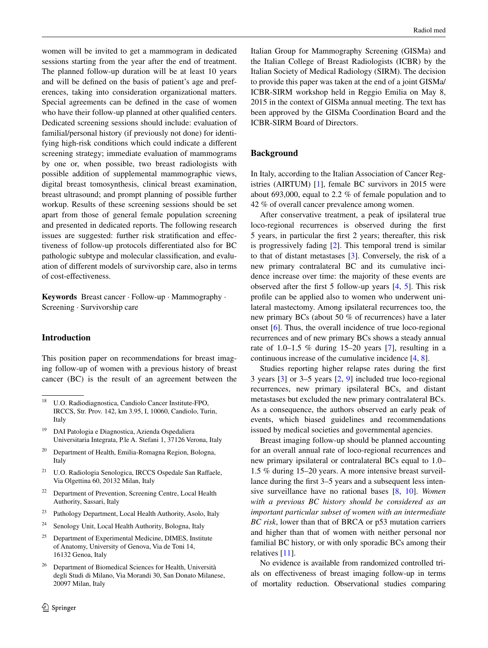women will be invited to get a mammogram in dedicated sessions starting from the year after the end of treatment. The planned follow-up duration will be at least 10 years and will be defined on the basis of patient's age and preferences, taking into consideration organizational matters. Special agreements can be defined in the case of women who have their follow-up planned at other qualified centers. Dedicated screening sessions should include: evaluation of familial/personal history (if previously not done) for identifying high-risk conditions which could indicate a different screening strategy; immediate evaluation of mammograms by one or, when possible, two breast radiologists with possible addition of supplemental mammographic views, digital breast tomosynthesis, clinical breast examination, breast ultrasound; and prompt planning of possible further workup. Results of these screening sessions should be set apart from those of general female population screening and presented in dedicated reports. The following research issues are suggested: further risk stratification and effectiveness of follow-up protocols differentiated also for BC pathologic subtype and molecular classification, and evaluation of different models of survivorship care, also in terms of cost-effectiveness.

**Keywords** Breast cancer · Follow-up · Mammography · Screening · Survivorship care

#### **Introduction**

This position paper on recommendations for breast imaging follow-up of women with a previous history of breast cancer (BC) is the result of an agreement between the

- <sup>19</sup> DAI Patologia e Diagnostica, Azienda Ospedaliera Universitaria Integrata, P.le A. Stefani 1, 37126 Verona, Italy
- <sup>20</sup> Department of Health, Emilia-Romagna Region, Bologna, Italy
- <sup>21</sup> U.O. Radiologia Senologica, IRCCS Ospedale San Raffaele, Via Olgettina 60, 20132 Milan, Italy
- <sup>22</sup> Department of Prevention, Screening Centre, Local Health Authority, Sassari, Italy
- <sup>23</sup> Pathology Department, Local Health Authority, Asolo, Italy
- <sup>24</sup> Senology Unit, Local Health Authority, Bologna, Italy
- $25$  Department of Experimental Medicine, DIMES, Institute of Anatomy, University of Genova, Via de Toni 14, 16132 Genoa, Italy
- <sup>26</sup> Department of Biomedical Sciences for Health, Università degli Studi di Milano, Via Morandi 30, San Donato Milanese, 20097 Milan, Italy

Italian Group for Mammography Screening (GISMa) and the Italian College of Breast Radiologists (ICBR) by the Italian Society of Medical Radiology (SIRM). The decision to provide this paper was taken at the end of a joint GISMa/ ICBR-SIRM workshop held in Reggio Emilia on May 8, 2015 in the context of GISMa annual meeting. The text has been approved by the GISMa Coordination Board and the ICBR-SIRM Board of Directors.

### **Background**

In Italy, according to the Italian Association of Cancer Registries (AIRTUM) [\[1](#page-4-0)], female BC survivors in 2015 were about 693,000, equal to 2.2 % of female population and to 42 % of overall cancer prevalence among women.

After conservative treatment, a peak of ipsilateral true loco-regional recurrences is observed during the first 5 years, in particular the first 2 years; thereafter, this risk is progressively fading [\[2](#page-4-1)]. This temporal trend is similar to that of distant metastases [\[3](#page-4-2)]. Conversely, the risk of a new primary contralateral BC and its cumulative incidence increase over time: the majority of these events are observed after the first 5 follow-up years [\[4](#page-4-3), [5\]](#page-4-4). This risk profile can be applied also to women who underwent unilateral mastectomy. Among ipsilateral recurrences too, the new primary BCs (about 50 % of recurrences) have a later onset [[6\]](#page-4-5). Thus, the overall incidence of true loco-regional recurrences and of new primary BCs shows a steady annual rate of 1.0–1.5 % during 15–20 years [\[7](#page-4-6)], resulting in a continuous increase of the cumulative incidence [\[4](#page-4-3), [8](#page-4-7)].

Studies reporting higher relapse rates during the first 3 years [\[3](#page-4-2)] or 3–5 years [[2,](#page-4-1) [9\]](#page-4-8) included true loco-regional recurrences, new primary ipsilateral BCs, and distant metastases but excluded the new primary contralateral BCs. As a consequence, the authors observed an early peak of events, which biased guidelines and recommendations issued by medical societies and governmental agencies.

Breast imaging follow-up should be planned accounting for an overall annual rate of loco-regional recurrences and new primary ipsilateral or contralateral BCs equal to 1.0– 1.5 % during 15–20 years. A more intensive breast surveillance during the first 3–5 years and a subsequent less intensive surveillance have no rational bases [\[8](#page-4-7), [10\]](#page-4-9). *Women with a previous BC history should be considered as an important particular subset of women with an intermediate BC risk*, lower than that of BRCA or p53 mutation carriers and higher than that of women with neither personal nor familial BC history, or with only sporadic BCs among their relatives [\[11](#page-4-10)].

No evidence is available from randomized controlled trials on effectiveness of breast imaging follow-up in terms of mortality reduction. Observational studies comparing

<sup>18</sup> U.O. Radiodiagnostica, Candiolo Cancer Institute-FPO, IRCCS, Str. Prov. 142, km 3.95, I, 10060, Candiolo, Turin, Italy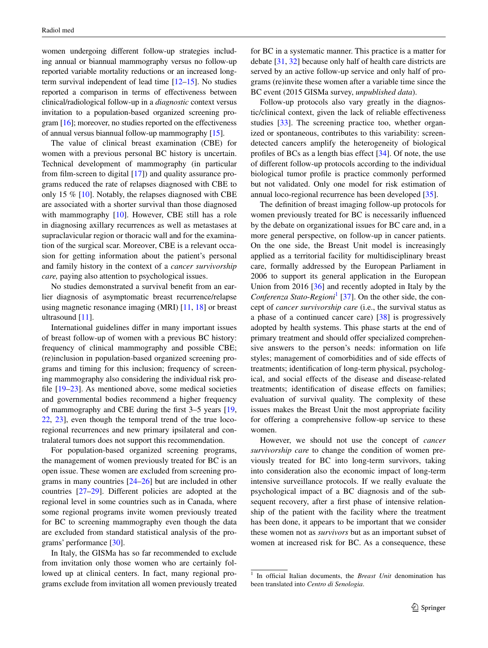women undergoing different follow-up strategies including annual or biannual mammography versus no follow-up reported variable mortality reductions or an increased longterm survival independent of lead time [\[12–](#page-4-11)[15\]](#page-5-0). No studies reported a comparison in terms of effectiveness between clinical/radiological follow-up in a *diagnostic* context versus invitation to a population-based organized screening program [[16](#page-5-1)]; moreover, no studies reported on the effectiveness of annual versus biannual follow-up mammography [\[15\]](#page-5-0).

The value of clinical breast examination (CBE) for women with a previous personal BC history is uncertain. Technical development of mammography (in particular from film-screen to digital [\[17](#page-5-2)]) and quality assurance programs reduced the rate of relapses diagnosed with CBE to only 15 % [\[10](#page-4-9)]. Notably, the relapses diagnosed with CBE are associated with a shorter survival than those diagnosed with mammography [\[10](#page-4-9)]. However, CBE still has a role in diagnosing axillary recurrences as well as metastases at supraclavicular region or thoracic wall and for the examination of the surgical scar. Moreover, CBE is a relevant occasion for getting information about the patient's personal and family history in the context of a *cancer survivorship care,* paying also attention to psychological issues.

No studies demonstrated a survival benefit from an earlier diagnosis of asymptomatic breast recurrence/relapse using magnetic resonance imaging (MRI) [[11,](#page-4-10) [18\]](#page-5-3) or breast ultrasound [\[11](#page-4-10)].

International guidelines differ in many important issues of breast follow-up of women with a previous BC history: frequency of clinical mammography and possible CBE; (re)inclusion in population-based organized screening programs and timing for this inclusion; frequency of screening mammography also considering the individual risk profile [[19–](#page-5-4)[23\]](#page-5-5). As mentioned above, some medical societies and governmental bodies recommend a higher frequency of mammography and CBE during the first 3–5 years [[19,](#page-5-4) [22](#page-5-6), [23](#page-5-5)], even though the temporal trend of the true locoregional recurrences and new primary ipsilateral and contralateral tumors does not support this recommendation.

For population-based organized screening programs, the management of women previously treated for BC is an open issue. These women are excluded from screening programs in many countries [[24–](#page-5-7)[26\]](#page-5-8) but are included in other countries [\[27](#page-5-9)[–29](#page-5-10)]. Different policies are adopted at the regional level in some countries such as in Canada, where some regional programs invite women previously treated for BC to screening mammography even though the data are excluded from standard statistical analysis of the programs' performance [[30\]](#page-5-11).

In Italy, the GISMa has so far recommended to exclude from invitation only those women who are certainly followed up at clinical centers. In fact, many regional programs exclude from invitation all women previously treated for BC in a systematic manner. This practice is a matter for debate [\[31](#page-5-12), [32\]](#page-5-13) because only half of health care districts are served by an active follow-up service and only half of programs (re)invite these women after a variable time since the BC event (2015 GISMa survey, *unpublished data*).

Follow-up protocols also vary greatly in the diagnostic/clinical context, given the lack of reliable effectiveness studies [[33\]](#page-5-14). The screening practice too, whether organized or spontaneous, contributes to this variability: screendetected cancers amplify the heterogeneity of biological profiles of BCs as a length bias effect [\[34](#page-5-15)]. Of note, the use of different follow-up protocols according to the individual biological tumor profile is practice commonly performed but not validated. Only one model for risk estimation of annual loco-regional recurrence has been developed [\[35](#page-5-16)].

The definition of breast imaging follow-up protocols for women previously treated for BC is necessarily influenced by the debate on organizational issues for BC care and, in a more general perspective, on follow-up in cancer patients. On the one side, the Breast Unit model is increasingly applied as a territorial facility for multidisciplinary breast care, formally addressed by the European Parliament in 2006 to support its general application in the European Union from 2016 [\[36](#page-5-17)] and recently adopted in Italy by the Conferenza Stato-*Regioni*<sup>[1](#page-2-0)</sup> [[37\]](#page-5-18). On the other side, the concept of *cancer survivorship care* (i.e., the survival status as a phase of a continued cancer care) [[38\]](#page-5-19) is progressively adopted by health systems. This phase starts at the end of primary treatment and should offer specialized comprehensive answers to the person's needs: information on life styles; management of comorbidities and of side effects of treatments; identification of long-term physical, psychological, and social effects of the disease and disease-related treatments; identification of disease effects on families; evaluation of survival quality. The complexity of these issues makes the Breast Unit the most appropriate facility for offering a comprehensive follow-up service to these women.

However, we should not use the concept of *cancer survivorship care* to change the condition of women previously treated for BC into long-term survivors, taking into consideration also the economic impact of long-term intensive surveillance protocols. If we really evaluate the psychological impact of a BC diagnosis and of the subsequent recovery, after a first phase of intensive relationship of the patient with the facility where the treatment has been done, it appears to be important that we consider these women not as *survivors* but as an important subset of women at increased risk for BC. As a consequence, these

<span id="page-2-0"></span><sup>1</sup> In official Italian documents, the *Breast Unit* denomination has been translated into *Centro di Senologia*.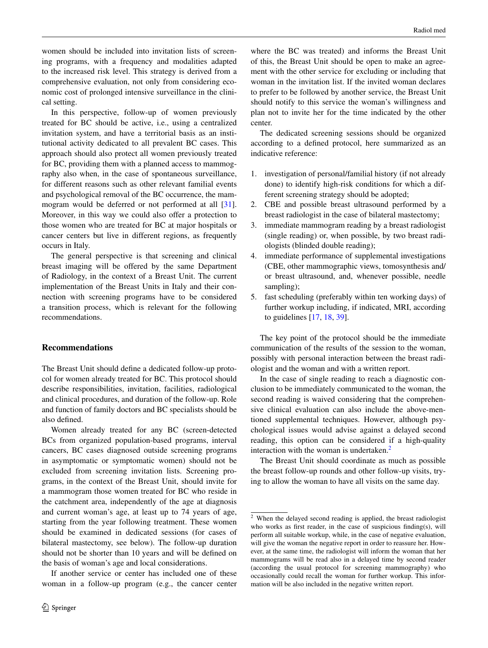women should be included into invitation lists of screening programs, with a frequency and modalities adapted to the increased risk level. This strategy is derived from a comprehensive evaluation, not only from considering economic cost of prolonged intensive surveillance in the clinical setting.

In this perspective, follow-up of women previously treated for BC should be active, i.e., using a centralized invitation system, and have a territorial basis as an institutional activity dedicated to all prevalent BC cases. This approach should also protect all women previously treated for BC, providing them with a planned access to mammography also when, in the case of spontaneous surveillance, for different reasons such as other relevant familial events and psychological removal of the BC occurrence, the mammogram would be deferred or not performed at all [\[31](#page-5-12)]. Moreover, in this way we could also offer a protection to those women who are treated for BC at major hospitals or cancer centers but live in different regions, as frequently occurs in Italy.

The general perspective is that screening and clinical breast imaging will be offered by the same Department of Radiology, in the context of a Breast Unit. The current implementation of the Breast Units in Italy and their connection with screening programs have to be considered a transition process, which is relevant for the following recommendations.

## **Recommendations**

The Breast Unit should define a dedicated follow-up protocol for women already treated for BC. This protocol should describe responsibilities, invitation, facilities, radiological and clinical procedures, and duration of the follow-up. Role and function of family doctors and BC specialists should be also defined.

Women already treated for any BC (screen-detected BCs from organized population-based programs, interval cancers, BC cases diagnosed outside screening programs in asymptomatic or symptomatic women) should not be excluded from screening invitation lists. Screening programs, in the context of the Breast Unit, should invite for a mammogram those women treated for BC who reside in the catchment area, independently of the age at diagnosis and current woman's age, at least up to 74 years of age, starting from the year following treatment. These women should be examined in dedicated sessions (for cases of bilateral mastectomy, see below). The follow-up duration should not be shorter than 10 years and will be defined on the basis of woman's age and local considerations.

If another service or center has included one of these woman in a follow-up program (e.g., the cancer center

where the BC was treated) and informs the Breast Unit of this, the Breast Unit should be open to make an agreement with the other service for excluding or including that woman in the invitation list. If the invited woman declares to prefer to be followed by another service, the Breast Unit should notify to this service the woman's willingness and plan not to invite her for the time indicated by the other center.

The dedicated screening sessions should be organized according to a defined protocol, here summarized as an indicative reference:

- 1. investigation of personal/familial history (if not already done) to identify high-risk conditions for which a different screening strategy should be adopted;
- 2. CBE and possible breast ultrasound performed by a breast radiologist in the case of bilateral mastectomy;
- 3. immediate mammogram reading by a breast radiologist (single reading) or, when possible, by two breast radiologists (blinded double reading);
- 4. immediate performance of supplemental investigations (CBE, other mammographic views, tomosynthesis and/ or breast ultrasound, and, whenever possible, needle sampling);
- 5. fast scheduling (preferably within ten working days) of further workup including, if indicated, MRI, according to guidelines [\[17](#page-5-2), [18](#page-5-3), [39](#page-5-20)].

The key point of the protocol should be the immediate communication of the results of the session to the woman, possibly with personal interaction between the breast radiologist and the woman and with a written report.

In the case of single reading to reach a diagnostic conclusion to be immediately communicated to the woman, the second reading is waived considering that the comprehensive clinical evaluation can also include the above-mentioned supplemental techniques. However, although psychological issues would advise against a delayed second reading, this option can be considered if a high-quality interaction with the woman is undertaken.<sup>2</sup>

The Breast Unit should coordinate as much as possible the breast follow-up rounds and other follow-up visits, trying to allow the woman to have all visits on the same day.

<span id="page-3-0"></span><sup>&</sup>lt;sup>2</sup> When the delayed second reading is applied, the breast radiologist who works as first reader, in the case of suspicious finding(s), will perform all suitable workup, while, in the case of negative evaluation, will give the woman the negative report in order to reassure her. However, at the same time, the radiologist will inform the woman that her mammograms will be read also in a delayed time by second reader (according the usual protocol for screening mammography) who occasionally could recall the woman for further workup. This information will be also included in the negative written report.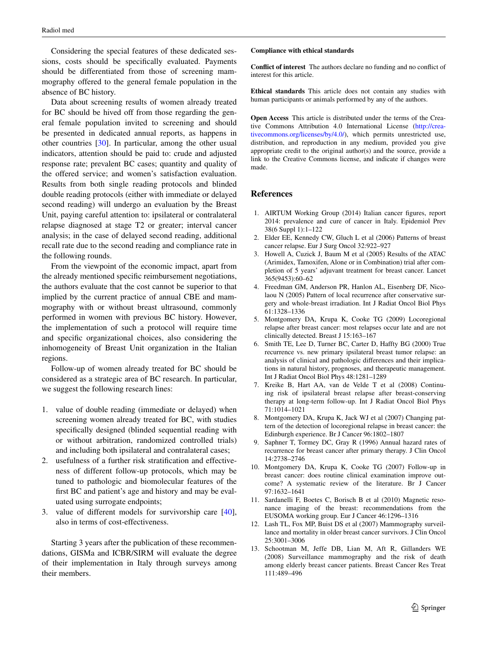Considering the special features of these dedicated sessions, costs should be specifically evaluated. Payments should be differentiated from those of screening mammography offered to the general female population in the absence of BC history.

Data about screening results of women already treated for BC should be hived off from those regarding the general female population invited to screening and should be presented in dedicated annual reports, as happens in other countries [[30\]](#page-5-11). In particular, among the other usual indicators, attention should be paid to: crude and adjusted response rate; prevalent BC cases; quantity and quality of the offered service; and women's satisfaction evaluation. Results from both single reading protocols and blinded double reading protocols (either with immediate or delayed second reading) will undergo an evaluation by the Breast Unit, paying careful attention to: ipsilateral or contralateral relapse diagnosed at stage T2 or greater; interval cancer analysis; in the case of delayed second reading, additional recall rate due to the second reading and compliance rate in the following rounds.

From the viewpoint of the economic impact, apart from the already mentioned specific reimbursement negotiations, the authors evaluate that the cost cannot be superior to that implied by the current practice of annual CBE and mammography with or without breast ultrasound, commonly performed in women with previous BC history. However, the implementation of such a protocol will require time and specific organizational choices, also considering the inhomogeneity of Breast Unit organization in the Italian regions.

Follow-up of women already treated for BC should be considered as a strategic area of BC research. In particular, we suggest the following research lines:

- 1. value of double reading (immediate or delayed) when screening women already treated for BC, with studies specifically designed (blinded sequential reading with or without arbitration, randomized controlled trials) and including both ipsilateral and contralateral cases;
- 2. usefulness of a further risk stratification and effectiveness of different follow-up protocols, which may be tuned to pathologic and biomolecular features of the first BC and patient's age and history and may be evaluated using surrogate endpoints;
- 3. value of different models for survivorship care [\[40](#page-5-21)], also in terms of cost-effectiveness.

Starting 3 years after the publication of these recommendations, GISMa and ICBR/SIRM will evaluate the degree of their implementation in Italy through surveys among their members.

#### **Compliance with ethical standards**

**Conflict of interest** The authors declare no funding and no conflict of interest for this article.

**Ethical standards** This article does not contain any studies with human participants or animals performed by any of the authors.

**Open Access** This article is distributed under the terms of the Creative Commons Attribution 4.0 International License ([http://crea](http://creativecommons.org/licenses/by/4.0/)[tivecommons.org/licenses/by/4.0/](http://creativecommons.org/licenses/by/4.0/)), which permits unrestricted use, distribution, and reproduction in any medium, provided you give appropriate credit to the original author(s) and the source, provide a link to the Creative Commons license, and indicate if changes were made.

#### **References**

- <span id="page-4-0"></span>1. AIRTUM Working Group (2014) Italian cancer figures, report 2014: prevalence and cure of cancer in Italy. Epidemiol Prev 38(6 Suppl 1):1–122
- <span id="page-4-1"></span>2. Elder EE, Kennedy CW, Gluch L et al (2006) Patterns of breast cancer relapse. Eur J Surg Oncol 32:922–927
- <span id="page-4-2"></span>3. Howell A, Cuzick J, Baum M et al (2005) Results of the ATAC (Arimidex, Tamoxifen, Alone or in Combination) trial after completion of 5 years' adjuvant treatment for breast cancer. Lancet 365(9453):60–62
- <span id="page-4-3"></span>4. Freedman GM, Anderson PR, Hanlon AL, Eisenberg DF, Nicolaou N (2005) Pattern of local recurrence after conservative surgery and whole-breast irradiation. Int J Radiat Oncol Biol Phys 61:1328–1336
- <span id="page-4-4"></span>5. Montgomery DA, Krupa K, Cooke TG (2009) Locoregional relapse after breast cancer: most relapses occur late and are not clinically detected. Breast J 15:163–167
- <span id="page-4-5"></span>6. Smith TE, Lee D, Turner BC, Carter D, Haffty BG (2000) True recurrence vs. new primary ipsilateral breast tumor relapse: an analysis of clinical and pathologic differences and their implications in natural history, prognoses, and therapeutic management. Int J Radiat Oncol Biol Phys 48:1281–1289
- <span id="page-4-6"></span>7. Kreike B, Hart AA, van de Velde T et al (2008) Continuing risk of ipsilateral breast relapse after breast-conserving therapy at long-term follow-up. Int J Radiat Oncol Biol Phys 71:1014–1021
- <span id="page-4-7"></span>8. Montgomery DA, Krupa K, Jack WJ et al (2007) Changing pattern of the detection of locoregional relapse in breast cancer: the Edinburgh experience. Br J Cancer 96:1802–1807
- <span id="page-4-8"></span>9. Saphner T, Tormey DC, Gray R (1996) Annual hazard rates of recurrence for breast cancer after primary therapy. J Clin Oncol 14:2738–2746
- <span id="page-4-9"></span>10. Montgomery DA, Krupa K, Cooke TG (2007) Follow-up in breast cancer: does routine clinical examination improve outcome? A systematic review of the literature. Br J Cancer 97:1632–1641
- <span id="page-4-10"></span>11. Sardanelli F, Boetes C, Borisch B et al (2010) Magnetic resonance imaging of the breast: recommendations from the EUSOMA working group. Eur J Cancer 46:1296–1316
- <span id="page-4-11"></span>12. Lash TL, Fox MP, Buist DS et al (2007) Mammography surveillance and mortality in older breast cancer survivors. J Clin Oncol 25:3001–3006
- 13. Schootman M, Jeffe DB, Lian M, Aft R, Gillanders WE (2008) Surveillance mammography and the risk of death among elderly breast cancer patients. Breast Cancer Res Treat 111:489–496